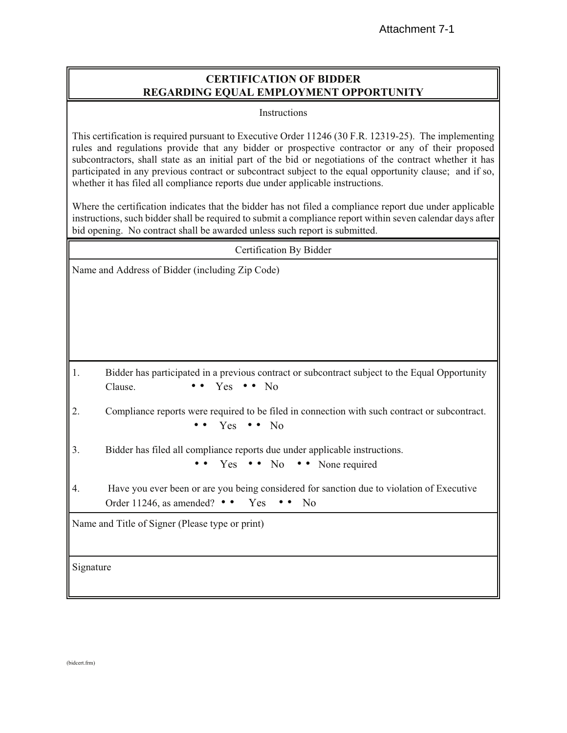## **CERTIFICATION OF BIDDER REGARDING EQUAL EMPLOYMENT OPPORTUNITY**

Instructions

This certification is required pursuant to Executive Order 11246 (30 F.R. 12319-25). The implementing rules and regulations provide that any bidder or prospective contractor or any of their proposed subcontractors, shall state as an initial part of the bid or negotiations of the contract whether it has participated in any previous contract or subcontract subject to the equal opportunity clause; and if so, whether it has filed all compliance reports due under applicable instructions.

Where the certification indicates that the bidder has not filed a compliance report due under applicable instructions, such bidder shall be required to submit a compliance report within seven calendar days after bid opening. No contract shall be awarded unless such report is submitted.

|                                                 | Certification By Bidder                                                                        |  |  |
|-------------------------------------------------|------------------------------------------------------------------------------------------------|--|--|
| Name and Address of Bidder (including Zip Code) |                                                                                                |  |  |
|                                                 |                                                                                                |  |  |
|                                                 |                                                                                                |  |  |
|                                                 |                                                                                                |  |  |
|                                                 |                                                                                                |  |  |
| 1.                                              | Bidder has participated in a previous contract or subcontract subject to the Equal Opportunity |  |  |
|                                                 | $\bullet \bullet \quad \mathrm{Yes} \quad \bullet \bullet \quad \mathrm{No}$<br>Clause.        |  |  |
| 2.                                              | Compliance reports were required to be filed in connection with such contract or subcontract.  |  |  |
|                                                 | $\bullet \bullet \quad \text{Yes} \quad \bullet \bullet \quad \text{No}$                       |  |  |
| 3.                                              | Bidder has filed all compliance reports due under applicable instructions.                     |  |  |
|                                                 | • $Yes \cdot \cdot No \cdot$ None required                                                     |  |  |
| 4.                                              | Have you ever been or are you being considered for sanction due to violation of Executive      |  |  |
|                                                 | Order 11246, as amended? • • Yes<br>N <sub>0</sub>                                             |  |  |
| Name and Title of Signer (Please type or print) |                                                                                                |  |  |
|                                                 |                                                                                                |  |  |
| Signature                                       |                                                                                                |  |  |